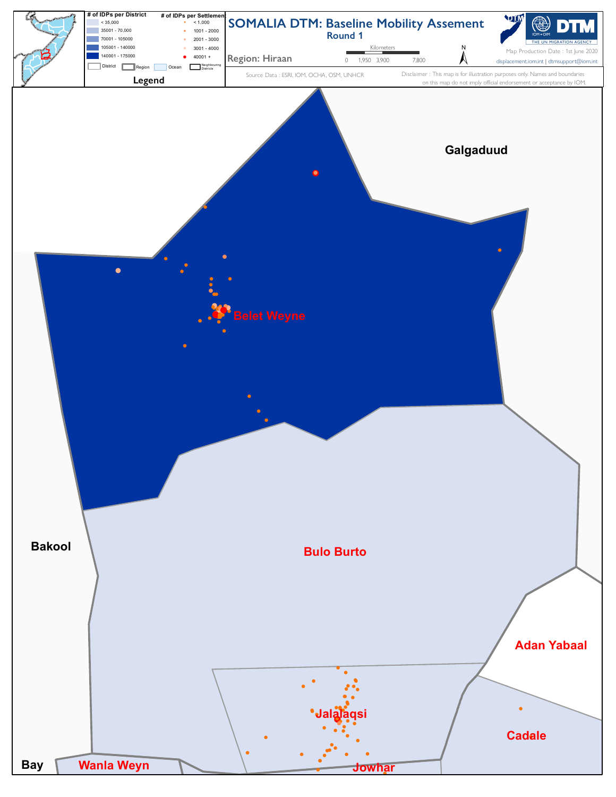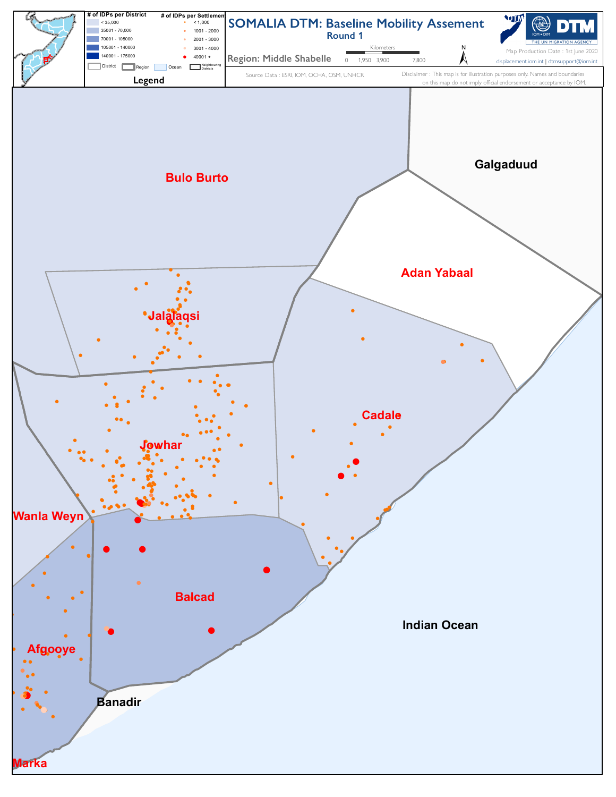